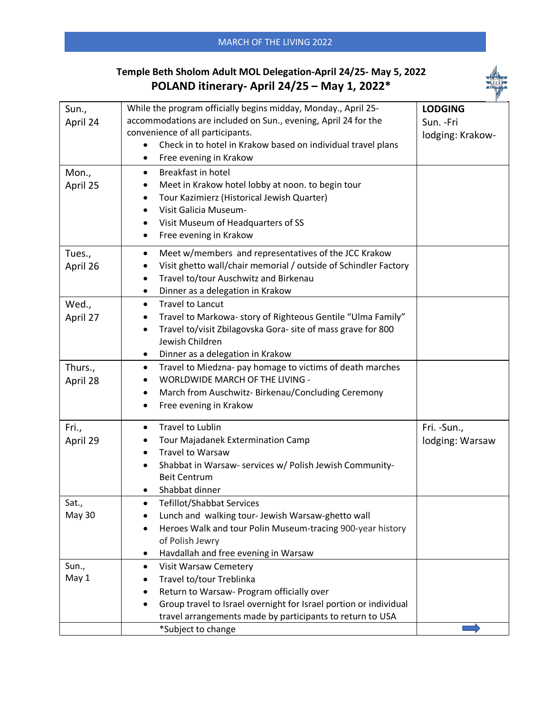## **Temple Beth Sholom Adult MOL Delegation-April 24/25- May 5, 2022 POLAND itinerary- April 24/25 – May 1, 2022\***



| Sun.,<br>April 24      | While the program officially begins midday, Monday., April 25-<br>accommodations are included on Sun., evening, April 24 for the<br>convenience of all participants.<br>Check in to hotel in Krakow based on individual travel plans<br>$\bullet$<br>Free evening in Krakow | <b>LODGING</b><br>Sun. - Fri<br>lodging: Krakow- |
|------------------------|-----------------------------------------------------------------------------------------------------------------------------------------------------------------------------------------------------------------------------------------------------------------------------|--------------------------------------------------|
| Mon.,<br>April 25      | Breakfast in hotel<br>$\bullet$<br>Meet in Krakow hotel lobby at noon. to begin tour<br>٠<br>Tour Kazimierz (Historical Jewish Quarter)<br>٠<br>Visit Galicia Museum-<br>$\bullet$<br>Visit Museum of Headquarters of SS<br>٠<br>Free evening in Krakow<br>٠                |                                                  |
| Tues.,<br>April 26     | Meet w/members and representatives of the JCC Krakow<br>$\bullet$<br>Visit ghetto wall/chair memorial / outside of Schindler Factory<br>Travel to/tour Auschwitz and Birkenau<br>٠<br>Dinner as a delegation in Krakow<br>$\bullet$                                         |                                                  |
| Wed.,<br>April 27      | <b>Travel to Lancut</b><br>$\bullet$<br>Travel to Markowa- story of Righteous Gentile "Ulma Family"<br>Travel to/visit Zbilagovska Gora- site of mass grave for 800<br>$\bullet$<br>Jewish Children<br>Dinner as a delegation in Krakow                                     |                                                  |
| Thurs.,<br>April 28    | Travel to Miedzna- pay homage to victims of death marches<br>$\bullet$<br>WORLDWIDE MARCH OF THE LIVING -<br>March from Auschwitz- Birkenau/Concluding Ceremony<br>٠<br>Free evening in Krakow<br>$\bullet$                                                                 |                                                  |
| Fri.,<br>April 29      | Travel to Lublin<br>$\bullet$<br>Tour Majadanek Extermination Camp<br><b>Travel to Warsaw</b><br>$\bullet$<br>Shabbat in Warsaw- services w/ Polish Jewish Community-<br><b>Beit Centrum</b><br>Shabbat dinner                                                              | Fri. - Sun.,<br>lodging: Warsaw                  |
| Sat.,<br><b>May 30</b> | Tefillot/Shabbat Services<br>Lunch and walking tour- Jewish Warsaw-ghetto wall<br>Heroes Walk and tour Polin Museum-tracing 900-year history<br>٠<br>of Polish Jewry<br>Havdallah and free evening in Warsaw                                                                |                                                  |
| Sun.,<br>May 1         | <b>Visit Warsaw Cemetery</b><br>٠<br>Travel to/tour Treblinka<br>Return to Warsaw- Program officially over<br>Group travel to Israel overnight for Israel portion or individual<br>٠<br>travel arrangements made by participants to return to USA                           |                                                  |
|                        | *Subject to change                                                                                                                                                                                                                                                          |                                                  |